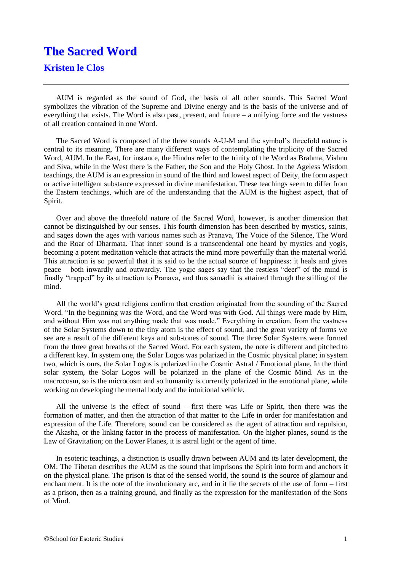## **The Sacred Word**

## **Kristen le Clos**

AUM is regarded as the sound of God, the basis of all other sounds. This Sacred Word symbolizes the vibration of the Supreme and Divine energy and is the basis of the universe and of everything that exists. The Word is also past, present, and future – a unifying force and the vastness of all creation contained in one Word.

The Sacred Word is composed of the three sounds A-U-M and the symbol's threefold nature is central to its meaning. There are many different ways of contemplating the triplicity of the Sacred Word, AUM. In the East, for instance, the Hindus refer to the trinity of the Word as Brahma, Vishnu and Siva, while in the West there is the Father, the Son and the Holy Ghost. In the Ageless Wisdom teachings, the AUM is an expression in sound of the third and lowest aspect of Deity, the form aspect or active intelligent substance expressed in divine manifestation. These teachings seem to differ from the Eastern teachings, which are of the understanding that the AUM is the highest aspect, that of Spirit.

Over and above the threefold nature of the Sacred Word, however, is another dimension that cannot be distinguished by our senses. This fourth dimension has been described by mystics, saints, and sages down the ages with various names such as Pranava, The Voice of the Silence, The Word and the Roar of Dharmata. That inner sound is a transcendental one heard by mystics and yogis, becoming a potent meditation vehicle that attracts the mind more powerfully than the material world. This attraction is so powerful that it is said to be the actual source of happiness: it heals and gives peace – both inwardly and outwardly. The yogic sages say that the restless "deer" of the mind is finally "trapped" by its attraction to Pranava, and thus samadhi is attained through the stilling of the mind.

All the world's great religions confirm that creation originated from the sounding of the Sacred Word. "In the beginning was the Word, and the Word was with God. All things were made by Him, and without Him was not anything made that was made." Everything in creation, from the vastness of the Solar Systems down to the tiny atom is the effect of sound, and the great variety of forms we see are a result of the different keys and sub-tones of sound. The three Solar Systems were formed from the three great breaths of the Sacred Word. For each system, the note is different and pitched to a different key. In system one, the Solar Logos was polarized in the Cosmic physical plane; in system two, which is ours, the Solar Logos is polarized in the Cosmic Astral / Emotional plane. In the third solar system, the Solar Logos will be polarized in the plane of the Cosmic Mind. As in the macrocosm, so is the microcosm and so humanity is currently polarized in the emotional plane, while working on developing the mental body and the intuitional vehicle.

All the universe is the effect of sound – first there was Life or Spirit, then there was the formation of matter, and then the attraction of that matter to the Life in order for manifestation and expression of the Life. Therefore, sound can be considered as the agent of attraction and repulsion, the Akasha, or the linking factor in the process of manifestation. On the higher planes, sound is the Law of Gravitation; on the Lower Planes, it is astral light or the agent of time.

In esoteric teachings, a distinction is usually drawn between AUM and its later development, the OM. The Tibetan describes the AUM as the sound that imprisons the Spirit into form and anchors it on the physical plane. The prison is that of the sensed world, the sound is the source of glamour and enchantment. It is the note of the involutionary arc, and in it lie the secrets of the use of form – first as a prison, then as a training ground, and finally as the expression for the manifestation of the Sons of Mind.